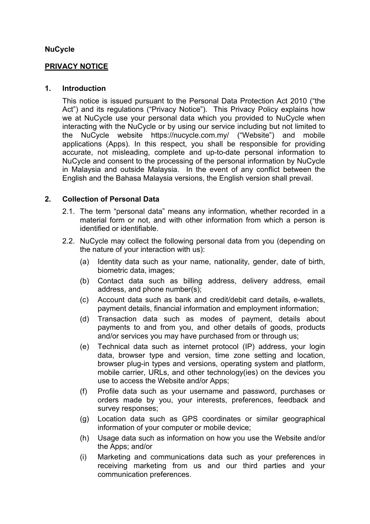## **NuCycle**

### **PRIVACY NOTICE**

### **1. Introduction**

This notice is issued pursuant to the Personal Data Protection Act 2010 ("the Act") and its regulations ("Privacy Notice"). This Privacy Policy explains how we at NuCycle use your personal data which you provided to NuCycle when interacting with the NuCycle or by using our service including but not limited to the NuCycle website https://nucycle.com.my/ ("Website") and mobile applications (Apps). In this respect, you shall be responsible for providing accurate, not misleading, complete and up-to-date personal information to NuCycle and consent to the processing of the personal information by NuCycle in Malaysia and outside Malaysia. In the event of any conflict between the English and the Bahasa Malaysia versions, the English version shall prevail.

## **2. Collection of Personal Data**

- 2.1. The term "personal data" means any information, whether recorded in a material form or not, and with other information from which a person is identified or identifiable.
- 2.2. NuCycle may collect the following personal data from you (depending on the nature of your interaction with us):
	- (a) Identity data such as your name, nationality, gender, date of birth, biometric data, images;
	- (b) Contact data such as billing address, delivery address, email address, and phone number(s);
	- (c) Account data such as bank and credit/debit card details, e-wallets, payment details, financial information and employment information;
	- (d) Transaction data such as modes of payment, details about payments to and from you, and other details of goods, products and/or services you may have purchased from or through us;
	- (e) Technical data such as internet protocol (IP) address, your login data, browser type and version, time zone setting and location, browser plug-in types and versions, operating system and platform, mobile carrier, URLs, and other technology(ies) on the devices you use to access the Website and/or Apps;
	- (f) Profile data such as your username and password, purchases or orders made by you, your interests, preferences, feedback and survey responses;
	- (g) Location data such as GPS coordinates or similar geographical information of your computer or mobile device;
	- (h) Usage data such as information on how you use the Website and/or the Apps; and/or
	- (i) Marketing and communications data such as your preferences in receiving marketing from us and our third parties and your communication preferences.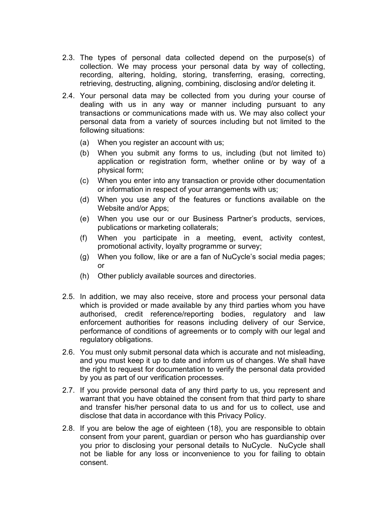- 2.3. The types of personal data collected depend on the purpose(s) of collection. We may process your personal data by way of collecting, recording, altering, holding, storing, transferring, erasing, correcting, retrieving, destructing, aligning, combining, disclosing and/or deleting it.
- 2.4. Your personal data may be collected from you during your course of dealing with us in any way or manner including pursuant to any transactions or communications made with us. We may also collect your personal data from a variety of sources including but not limited to the following situations:
	- (a) When you register an account with us;
	- (b) When you submit any forms to us, including (but not limited to) application or registration form, whether online or by way of a physical form;
	- (c) When you enter into any transaction or provide other documentation or information in respect of your arrangements with us;
	- (d) When you use any of the features or functions available on the Website and/or Apps;
	- (e) When you use our or our Business Partner's products, services, publications or marketing collaterals;
	- (f) When you participate in a meeting, event, activity contest, promotional activity, loyalty programme or survey;
	- (g) When you follow, like or are a fan of NuCycle's social media pages; or
	- (h) Other publicly available sources and directories.
- 2.5. In addition, we may also receive, store and process your personal data which is provided or made available by any third parties whom you have authorised, credit reference/reporting bodies, regulatory and law enforcement authorities for reasons including delivery of our Service, performance of conditions of agreements or to comply with our legal and regulatory obligations.
- 2.6. You must only submit personal data which is accurate and not misleading, and you must keep it up to date and inform us of changes. We shall have the right to request for documentation to verify the personal data provided by you as part of our verification processes.
- 2.7. If you provide personal data of any third party to us, you represent and warrant that you have obtained the consent from that third party to share and transfer his/her personal data to us and for us to collect, use and disclose that data in accordance with this Privacy Policy.
- 2.8. If you are below the age of eighteen (18), you are responsible to obtain consent from your parent, guardian or person who has guardianship over you prior to disclosing your personal details to NuCycle. NuCycle shall not be liable for any loss or inconvenience to you for failing to obtain consent.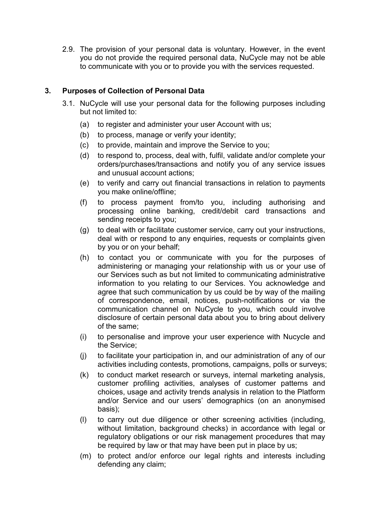2.9. The provision of your personal data is voluntary. However, in the event you do not provide the required personal data, NuCycle may not be able to communicate with you or to provide you with the services requested.

# **3. Purposes of Collection of Personal Data**

- 3.1. NuCycle will use your personal data for the following purposes including but not limited to:
	- (a) to register and administer your user Account with us;
	- (b) to process, manage or verify your identity;
	- (c) to provide, maintain and improve the Service to you;
	- (d) to respond to, process, deal with, fulfil, validate and/or complete your orders/purchases/transactions and notify you of any service issues and unusual account actions;
	- (e) to verify and carry out financial transactions in relation to payments you make online/offline;
	- (f) to process payment from/to you, including authorising and processing online banking, credit/debit card transactions and sending receipts to you;
	- (g) to deal with or facilitate customer service, carry out your instructions, deal with or respond to any enquiries, requests or complaints given by you or on your behalf;
	- (h) to contact you or communicate with you for the purposes of administering or managing your relationship with us or your use of our Services such as but not limited to communicating administrative information to you relating to our Services. You acknowledge and agree that such communication by us could be by way of the mailing of correspondence, email, notices, push-notifications or via the communication channel on NuCycle to you, which could involve disclosure of certain personal data about you to bring about delivery of the same;
	- (i) to personalise and improve your user experience with Nucycle and the Service;
	- (j) to facilitate your participation in, and our administration of any of our activities including contests, promotions, campaigns, polls or surveys;
	- (k) to conduct market research or surveys, internal marketing analysis, customer profiling activities, analyses of customer patterns and choices, usage and activity trends analysis in relation to the Platform and/or Service and our users' demographics (on an anonymised basis);
	- (l) to carry out due diligence or other screening activities (including, without limitation, background checks) in accordance with legal or regulatory obligations or our risk management procedures that may be required by law or that may have been put in place by us;
	- (m) to protect and/or enforce our legal rights and interests including defending any claim;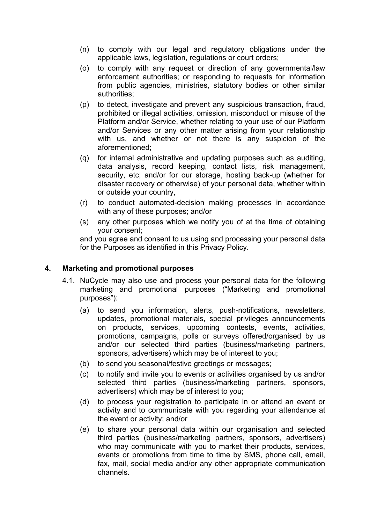- (n) to comply with our legal and regulatory obligations under the applicable laws, legislation, regulations or court orders;
- (o) to comply with any request or direction of any governmental/law enforcement authorities; or responding to requests for information from public agencies, ministries, statutory bodies or other similar authorities;
- (p) to detect, investigate and prevent any suspicious transaction, fraud, prohibited or illegal activities, omission, misconduct or misuse of the Platform and/or Service, whether relating to your use of our Platform and/or Services or any other matter arising from your relationship with us, and whether or not there is any suspicion of the aforementioned;
- (q) for internal administrative and updating purposes such as auditing, data analysis, record keeping, contact lists, risk management, security, etc; and/or for our storage, hosting back-up (whether for disaster recovery or otherwise) of your personal data, whether within or outside your country,
- (r) to conduct automated-decision making processes in accordance with any of these purposes; and/or
- (s) any other purposes which we notify you of at the time of obtaining your consent;

and you agree and consent to us using and processing your personal data for the Purposes as identified in this Privacy Policy.

## **4. Marketing and promotional purposes**

- 4.1. NuCycle may also use and process your personal data for the following marketing and promotional purposes ("Marketing and promotional purposes"):
	- (a) to send you information, alerts, push-notifications, newsletters, updates, promotional materials, special privileges announcements on products, services, upcoming contests, events, activities, promotions, campaigns, polls or surveys offered/organised by us and/or our selected third parties (business/marketing partners, sponsors, advertisers) which may be of interest to you;
	- (b) to send you seasonal/festive greetings or messages;
	- (c) to notify and invite you to events or activities organised by us and/or selected third parties (business/marketing partners, sponsors, advertisers) which may be of interest to you;
	- (d) to process your registration to participate in or attend an event or activity and to communicate with you regarding your attendance at the event or activity; and/or
	- (e) to share your personal data within our organisation and selected third parties (business/marketing partners, sponsors, advertisers) who may communicate with you to market their products, services, events or promotions from time to time by SMS, phone call, email, fax, mail, social media and/or any other appropriate communication channels.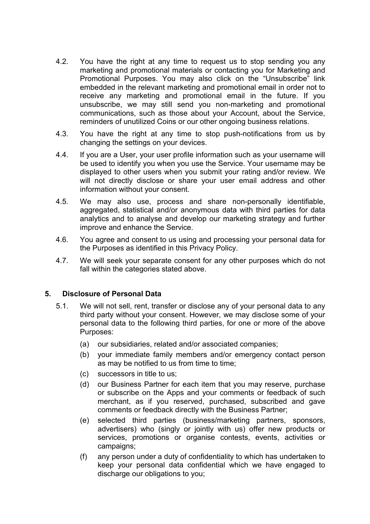- 4.2. You have the right at any time to request us to stop sending you any marketing and promotional materials or contacting you for Marketing and Promotional Purposes. You may also click on the "Unsubscribe" link embedded in the relevant marketing and promotional email in order not to receive any marketing and promotional email in the future. If you unsubscribe, we may still send you non-marketing and promotional communications, such as those about your Account, about the Service, reminders of unutilized Coins or our other ongoing business relations.
- 4.3. You have the right at any time to stop push-notifications from us by changing the settings on your devices.
- 4.4. If you are a User, your user profile information such as your username will be used to identify you when you use the Service. Your username may be displayed to other users when you submit your rating and/or review. We will not directly disclose or share your user email address and other information without your consent.
- 4.5. We may also use, process and share non-personally identifiable, aggregated, statistical and/or anonymous data with third parties for data analytics and to analyse and develop our marketing strategy and further improve and enhance the Service.
- 4.6. You agree and consent to us using and processing your personal data for the Purposes as identified in this Privacy Policy.
- 4.7. We will seek your separate consent for any other purposes which do not fall within the categories stated above.

## **5. Disclosure of Personal Data**

- 5.1. We will not sell, rent, transfer or disclose any of your personal data to any third party without your consent. However, we may disclose some of your personal data to the following third parties, for one or more of the above Purposes:
	- (a) our subsidiaries, related and/or associated companies;
	- (b) your immediate family members and/or emergency contact person as may be notified to us from time to time;
	- (c) successors in title to us;
	- (d) our Business Partner for each item that you may reserve, purchase or subscribe on the Apps and your comments or feedback of such merchant, as if you reserved, purchased, subscribed and gave comments or feedback directly with the Business Partner;
	- (e) selected third parties (business/marketing partners, sponsors, advertisers) who (singly or jointly with us) offer new products or services, promotions or organise contests, events, activities or campaigns;
	- (f) any person under a duty of confidentiality to which has undertaken to keep your personal data confidential which we have engaged to discharge our obligations to you;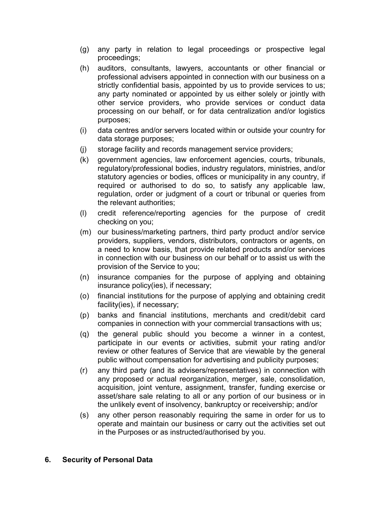- (g) any party in relation to legal proceedings or prospective legal proceedings;
- (h) auditors, consultants, lawyers, accountants or other financial or professional advisers appointed in connection with our business on a strictly confidential basis, appointed by us to provide services to us; any party nominated or appointed by us either solely or jointly with other service providers, who provide services or conduct data processing on our behalf, or for data centralization and/or logistics purposes;
- (i) data centres and/or servers located within or outside your country for data storage purposes;
- (j) storage facility and records management service providers;
- (k) government agencies, law enforcement agencies, courts, tribunals, regulatory/professional bodies, industry regulators, ministries, and/or statutory agencies or bodies, offices or municipality in any country, if required or authorised to do so, to satisfy any applicable law, regulation, order or judgment of a court or tribunal or queries from the relevant authorities;
- (l) credit reference/reporting agencies for the purpose of credit checking on you;
- (m) our business/marketing partners, third party product and/or service providers, suppliers, vendors, distributors, contractors or agents, on a need to know basis, that provide related products and/or services in connection with our business on our behalf or to assist us with the provision of the Service to you;
- (n) insurance companies for the purpose of applying and obtaining insurance policy(ies), if necessary;
- (o) financial institutions for the purpose of applying and obtaining credit facility(ies), if necessary;
- (p) banks and financial institutions, merchants and credit/debit card companies in connection with your commercial transactions with us;
- (q) the general public should you become a winner in a contest, participate in our events or activities, submit your rating and/or review or other features of Service that are viewable by the general public without compensation for advertising and publicity purposes;
- (r) any third party (and its advisers/representatives) in connection with any proposed or actual reorganization, merger, sale, consolidation, acquisition, joint venture, assignment, transfer, funding exercise or asset/share sale relating to all or any portion of our business or in the unlikely event of insolvency, bankruptcy or receivership; and/or
- (s) any other person reasonably requiring the same in order for us to operate and maintain our business or carry out the activities set out in the Purposes or as instructed/authorised by you.

#### **6. Security of Personal Data**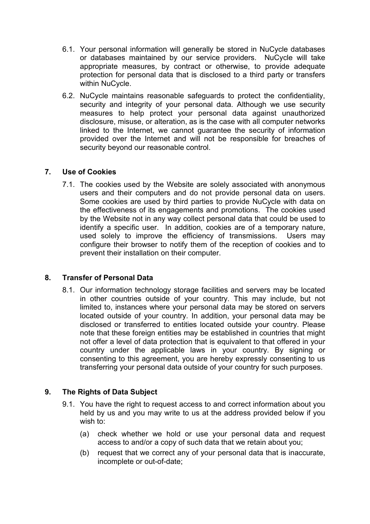- 6.1. Your personal information will generally be stored in NuCycle databases or databases maintained by our service providers. NuCycle will take appropriate measures, by contract or otherwise, to provide adequate protection for personal data that is disclosed to a third party or transfers within NuCycle.
- 6.2. NuCycle maintains reasonable safeguards to protect the confidentiality, security and integrity of your personal data. Although we use security measures to help protect your personal data against unauthorized disclosure, misuse, or alteration, as is the case with all computer networks linked to the Internet, we cannot guarantee the security of information provided over the Internet and will not be responsible for breaches of security beyond our reasonable control.

# **7. Use of Cookies**

7.1. The cookies used by the Website are solely associated with anonymous users and their computers and do not provide personal data on users. Some cookies are used by third parties to provide NuCycle with data on the effectiveness of its engagements and promotions. The cookies used by the Website not in any way collect personal data that could be used to identify a specific user. In addition, cookies are of a temporary nature, used solely to improve the efficiency of transmissions. Users may configure their browser to notify them of the reception of cookies and to prevent their installation on their computer.

# **8. Transfer of Personal Data**

8.1. Our information technology storage facilities and servers may be located in other countries outside of your country. This may include, but not limited to, instances where your personal data may be stored on servers located outside of your country. In addition, your personal data may be disclosed or transferred to entities located outside your country. Please note that these foreign entities may be established in countries that might not offer a level of data protection that is equivalent to that offered in your country under the applicable laws in your country. By signing or consenting to this agreement, you are hereby expressly consenting to us transferring your personal data outside of your country for such purposes.

# **9. The Rights of Data Subject**

- 9.1. You have the right to request access to and correct information about you held by us and you may write to us at the address provided below if you wish to:
	- (a) check whether we hold or use your personal data and request access to and/or a copy of such data that we retain about you;
	- (b) request that we correct any of your personal data that is inaccurate, incomplete or out-of-date;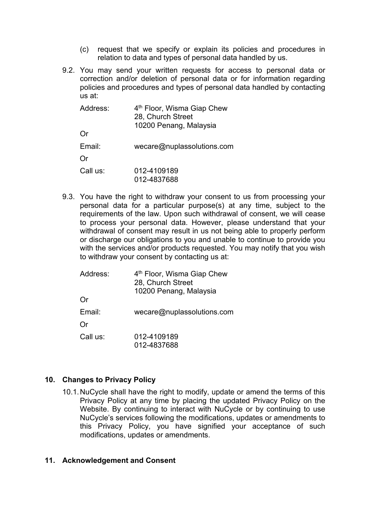- (c) request that we specify or explain its policies and procedures in relation to data and types of personal data handled by us.
- 9.2. You may send your written requests for access to personal data or correction and/or deletion of personal data or for information regarding policies and procedures and types of personal data handled by contacting us at:

| Address: | 4 <sup>th</sup> Floor, Wisma Giap Chew<br>28, Church Street<br>10200 Penang, Malaysia |  |
|----------|---------------------------------------------------------------------------------------|--|
| Or       |                                                                                       |  |
| Email:   | wecare@nuples solutions.com                                                           |  |
| Or       |                                                                                       |  |
| Call us: | 012-4109189<br>012-4837688                                                            |  |

9.3. You have the right to withdraw your consent to us from processing your personal data for a particular purpose(s) at any time, subject to the requirements of the law. Upon such withdrawal of consent, we will cease to process your personal data. However, please understand that your withdrawal of consent may result in us not being able to properly perform or discharge our obligations to you and unable to continue to provide you with the services and/or products requested. You may notify that you wish to withdraw your consent by contacting us at:

| Address: | 4 <sup>th</sup> Floor, Wisma Giap Chew<br>28, Church Street<br>10200 Penang, Malaysia |
|----------|---------------------------------------------------------------------------------------|
| Or       |                                                                                       |
| Email:   | wecare@nuples solutions.com                                                           |
| Or       |                                                                                       |
| Call us: | 012-4109189<br>012-4837688                                                            |

## **10. Changes to Privacy Policy**

10.1.NuCycle shall have the right to modify, update or amend the terms of this Privacy Policy at any time by placing the updated Privacy Policy on the Website. By continuing to interact with NuCycle or by continuing to use NuCycle's services following the modifications, updates or amendments to this Privacy Policy, you have signified your acceptance of such modifications, updates or amendments.

#### **11. Acknowledgement and Consent**